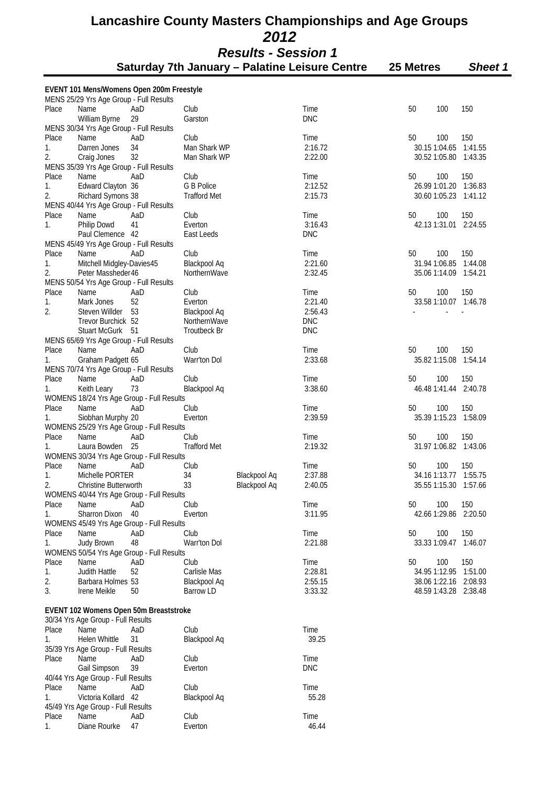|             | EVENT 101 Mens/Womens Open 200m Freestyle<br>MENS 25/29 Yrs Age Group - Full Results |           |                      |                     |                    |               |     |                       |
|-------------|--------------------------------------------------------------------------------------|-----------|----------------------|---------------------|--------------------|---------------|-----|-----------------------|
| Place       | Name                                                                                 | AaD       | Club                 |                     | Time               | 50            | 100 | 150                   |
|             | William Byrne                                                                        | 29        | Garston              |                     | <b>DNC</b>         |               |     |                       |
|             | MENS 30/34 Yrs Age Group - Full Results                                              |           |                      |                     |                    |               |     |                       |
| Place       | <b>Name</b>                                                                          | AaD       | Club                 |                     | Time               | 50            | 100 | 150                   |
| 1.          | Darren Jones                                                                         | 34        | Man Shark WP         |                     | 2:16.72            | 30.15 1:04.65 |     | 1:41.55               |
| 2.          | Craig Jones                                                                          | 32        | Man Shark WP         |                     | 2:22.00            |               |     | 30.52 1:05.80 1:43.35 |
|             | MENS 35/39 Yrs Age Group - Full Results                                              |           |                      |                     |                    |               |     |                       |
| Place       | Name                                                                                 | AaD       | Club                 |                     | Time               | 50            | 100 | 150                   |
| 1.          | Edward Clayton 36                                                                    |           | G B Police           |                     | 2:12.52            |               |     | 26.99 1:01.20 1:36.83 |
| 2.          | Richard Symons 38                                                                    |           | <b>Trafford Met</b>  |                     | 2:15.73            |               |     | 30.60 1:05.23 1:41.12 |
| Place       | MENS 40/44 Yrs Age Group - Full Results<br>Name                                      | AaD       | Club                 |                     | Time               | 50            | 100 | 150                   |
| 1.          | Philip Dowd                                                                          | 41        | Everton              |                     | 3:16.43            |               |     | 42.13 1:31.01 2:24.55 |
|             | Paul Clemence 42                                                                     |           | East Leeds           |                     | <b>DNC</b>         |               |     |                       |
|             | MENS 45/49 Yrs Age Group - Full Results                                              |           |                      |                     |                    |               |     |                       |
| Place       | Name                                                                                 | AaD       | Club                 |                     | Time               | 50            | 100 | 150                   |
| 1.          | Mitchell Midgley-Davies45                                                            |           | <b>Blackpool Aq</b>  |                     | 2:21.60            | 31.94 1:06.85 |     | 1:44.08               |
| 2.          | Peter Massheder 46                                                                   |           | NorthernWave         |                     | 2:32.45            |               |     | 35.06 1:14.09 1:54.21 |
|             | MENS 50/54 Yrs Age Group - Full Results                                              |           |                      |                     |                    |               |     |                       |
| Place       | Name                                                                                 | AaD       | Club                 |                     | Time               | 50            | 100 | 150                   |
| 1.          | Mark Jones                                                                           | 52        | Everton              |                     | 2:21.40            |               |     | 33.58 1:10.07 1:46.78 |
| 2.          | Steven Willder                                                                       | 53        | Blackpool Aq         |                     | 2:56.43            |               |     |                       |
|             | Trevor Burchick 52                                                                   |           | NorthernWave         |                     | <b>DNC</b>         |               |     |                       |
|             | <b>Stuart McGurk</b>                                                                 | -51       | <b>Troutbeck Br</b>  |                     | <b>DNC</b>         |               |     |                       |
|             | MENS 65/69 Yrs Age Group - Full Results                                              |           |                      |                     |                    |               |     |                       |
| Place       | Name                                                                                 | AaD       | Club                 |                     | Time               | 50            | 100 | 150                   |
| 1.          | Graham Padgett 65                                                                    |           | Warr'ton Dol         |                     | 2:33.68            | 35.82 1:15.08 |     | 1:54.14               |
|             | MENS 70/74 Yrs Age Group - Full Results                                              |           |                      |                     |                    |               |     |                       |
| Place       | Name                                                                                 | AaD       | Club                 |                     | Time               | 50            | 100 | 150                   |
| 1.          | Keith Leary                                                                          | 73        | <b>Blackpool Aq</b>  |                     | 3:38.60            | 46.48 1:41.44 |     | 2:40.78               |
|             | WOMENS 18/24 Yrs Age Group - Full Results                                            |           |                      |                     |                    |               |     |                       |
| Place       | Name                                                                                 | AaD       | Club                 |                     | Time               | 50            | 100 | 150                   |
| 1.          | Siobhan Murphy 20                                                                    |           | Everton              |                     | 2:39.59            |               |     | 35.39 1:15.23 1:58.09 |
|             | WOMENS 25/29 Yrs Age Group - Full Results                                            |           |                      |                     |                    |               |     |                       |
| Place       | Name                                                                                 | AaD       | Club                 |                     | Time               | 50            | 100 | 150                   |
| 1.          | Laura Bowden 25                                                                      |           | <b>Trafford Met</b>  |                     | 2:19.32            |               |     | 31.97 1:06.82 1:43.06 |
|             | WOMENS 30/34 Yrs Age Group - Full Results                                            |           |                      |                     |                    |               |     |                       |
| Place       | Name                                                                                 | AaD       | Club                 |                     | Time               | 50            | 100 | 150                   |
| 1.          | Michelle PORTER                                                                      |           | 34                   | Blackpool Aq        | 2:37.88            |               |     | 34.16 1:13.77 1:55.75 |
| 2.          | <b>Christine Butterworth</b>                                                         |           | 33                   | <b>Blackpool Aq</b> | 2:40.05            | 35.55 1:15.30 |     | 1:57.66               |
|             | WOMENS 40/44 Yrs Age Group - Full Results                                            |           |                      |                     |                    |               |     |                       |
| Place       | Name                                                                                 | AaD       | Club                 |                     | Time               | 50            | 100 | 150                   |
| 1.          | Sharron Dixon                                                                        | 40        | Everton              |                     | 3:11.95            |               |     | 42.66 1:29.86 2:20.50 |
|             | WOMENS 45/49 Yrs Age Group - Full Results                                            |           |                      |                     |                    |               |     |                       |
| Place       | Name                                                                                 | AaD       | Club                 |                     | Time               | 50            | 100 | 150                   |
| 1.          | Judy Brown                                                                           | 48        | Warr'ton Dol         |                     | 2:21.88            |               |     | 33.33 1:09.47 1:46.07 |
|             | WOMENS 50/54 Yrs Age Group - Full Results<br>Name                                    |           |                      |                     |                    |               |     | 150                   |
| Place<br>1. | Judith Hattle                                                                        | AaD<br>52 | Club<br>Carlisle Mas |                     | Time<br>2:28.81    | 50            | 100 | 34.95 1:12.95 1:51.00 |
| 2.          | Barbara Holmes 53                                                                    |           | <b>Blackpool Aq</b>  |                     | 2:55.15            |               |     | 38.06 1:22.16 2:08.93 |
| 3.          | Irene Meikle                                                                         | 50        | <b>Barrow LD</b>     |                     | 3:33.32            |               |     | 48.59 1:43.28 2:38.48 |
|             |                                                                                      |           |                      |                     |                    |               |     |                       |
|             | EVENT 102 Womens Open 50m Breaststroke                                               |           |                      |                     |                    |               |     |                       |
|             | 30/34 Yrs Age Group - Full Results                                                   |           |                      |                     |                    |               |     |                       |
| Place       | Name                                                                                 | AaD       | Club                 |                     | Time               |               |     |                       |
| 1.          | Helen Whittle                                                                        | 31        | Blackpool Aq         |                     | 39.25              |               |     |                       |
|             | 35/39 Yrs Age Group - Full Results                                                   |           |                      |                     |                    |               |     |                       |
| Place       | Name                                                                                 | AaD<br>39 | Club                 |                     | Time<br><b>DNC</b> |               |     |                       |
|             | Gail Simpson                                                                         |           | Everton              |                     |                    |               |     |                       |
| Place       | 40/44 Yrs Age Group - Full Results<br>Name                                           | AaD       | Club                 |                     | Time               |               |     |                       |
| 1.          | Victoria Kollard 42                                                                  |           | <b>Blackpool Aq</b>  |                     | 55.28              |               |     |                       |
|             | 45/49 Yrs Age Group - Full Results                                                   |           |                      |                     |                    |               |     |                       |
| Place       | Name                                                                                 | AaD       | Club                 |                     | Time               |               |     |                       |
| 1.          | Diane Rourke                                                                         | 47        | Everton              |                     | 46.44              |               |     |                       |
|             |                                                                                      |           |                      |                     |                    |               |     |                       |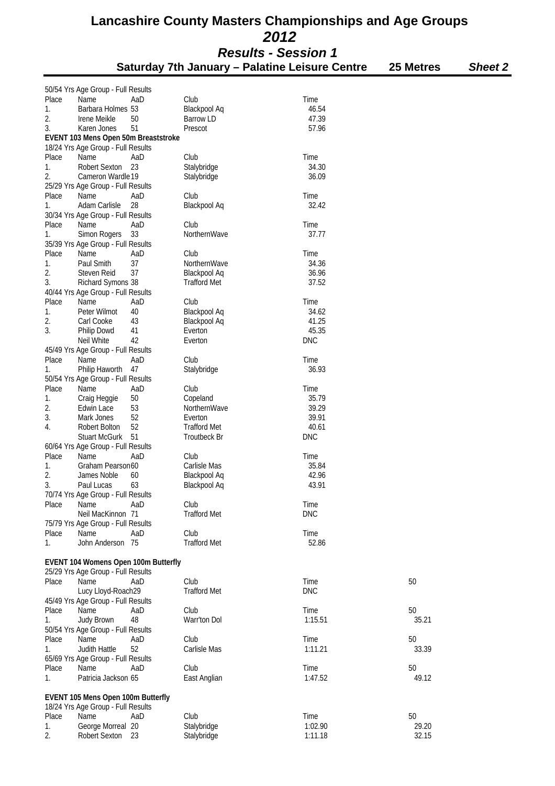|       | Results - Session 1                  |     |                     |                                                |           |                |  |  |
|-------|--------------------------------------|-----|---------------------|------------------------------------------------|-----------|----------------|--|--|
|       |                                      |     |                     | Saturday 7th January - Palatine Leisure Centre | 25 Metres | <b>Sheet 2</b> |  |  |
|       | 50/54 Yrs Age Group - Full Results   |     |                     |                                                |           |                |  |  |
| Place | Name                                 | AaD | Club                | Time                                           |           |                |  |  |
|       |                                      |     | Blackpool Aq        |                                                |           |                |  |  |
| 1.    | Barbara Holmes 53                    |     |                     | 46.54                                          |           |                |  |  |
| 2.    | Irene Meikle                         | 50  | <b>Barrow LD</b>    | 47.39                                          |           |                |  |  |
| 3.    | Karen Jones                          | 51  | Prescot             | 57.96                                          |           |                |  |  |
|       | EVENT 103 Mens Open 50m Breaststroke |     |                     |                                                |           |                |  |  |
|       | 18/24 Yrs Age Group - Full Results   |     |                     |                                                |           |                |  |  |
| Place | Name                                 | AaD | Club                | Time                                           |           |                |  |  |
| 1.    | Robert Sexton                        | 23  | Stalybridge         | 34.30                                          |           |                |  |  |
| 2.    | Cameron Wardle 19                    |     | Stalybridge         | 36.09                                          |           |                |  |  |
|       | 25/29 Yrs Age Group - Full Results   |     |                     |                                                |           |                |  |  |
| Place | Name                                 | AaD | Club                | Time                                           |           |                |  |  |
| 1.    | Adam Carlisle                        | 28  | Blackpool Aq        | 32.42                                          |           |                |  |  |
|       | 30/34 Yrs Age Group - Full Results   |     |                     |                                                |           |                |  |  |
| Place | Name                                 | AaD | Club                | Time                                           |           |                |  |  |
| 1.    | Simon Rogers                         | 33  | NorthernWave        | 37.77                                          |           |                |  |  |
|       | 35/39 Yrs Age Group - Full Results   |     |                     |                                                |           |                |  |  |
| Place | Name                                 | AaD | Club                | Time                                           |           |                |  |  |
| 1.    | Paul Smith                           | 37  | NorthernWave        | 34.36                                          |           |                |  |  |
| 2.    | Steven Reid                          | 37  | <b>Blackpool Aq</b> | 36.96                                          |           |                |  |  |
|       |                                      |     |                     |                                                |           |                |  |  |
| 3.    | Richard Symons 38                    |     | <b>Trafford Met</b> | 37.52                                          |           |                |  |  |
|       | 40/44 Yrs Age Group - Full Results   |     |                     |                                                |           |                |  |  |
| Place | Name                                 | AaD | Club                | Time                                           |           |                |  |  |
| 1.    | Peter Wilmot                         | 40  | Blackpool Aq        | 34.62                                          |           |                |  |  |
| 2.    | Carl Cooke                           | 43  | Blackpool Aq        | 41.25                                          |           |                |  |  |
| 3.    | Philip Dowd                          | 41  | Everton             | 45.35                                          |           |                |  |  |
|       | Neil White                           | 42  | Everton             | <b>DNC</b>                                     |           |                |  |  |
|       | 45/49 Yrs Age Group - Full Results   |     |                     |                                                |           |                |  |  |
| Place | Name                                 | AaD | Club                | Time                                           |           |                |  |  |
| 1.    | Philip Haworth                       | 47  | Stalybridge         | 36.93                                          |           |                |  |  |
|       | 50/54 Yrs Age Group - Full Results   |     |                     |                                                |           |                |  |  |
| Place | Name                                 | AaD | Club                | Time                                           |           |                |  |  |
| 1.    | Craig Heggie                         | 50  | Copeland            | 35.79                                          |           |                |  |  |
| 2.    | Edwin Lace                           | 53  | NorthernWave        | 39.29                                          |           |                |  |  |
| 3.    | Mark Jones                           | 52  | Everton             | 39.91                                          |           |                |  |  |
|       | <b>Robert Bolton</b>                 | 52  | <b>Trafford Met</b> |                                                |           |                |  |  |
| 4.    |                                      |     |                     | 40.61                                          |           |                |  |  |
|       | <b>Stuart McGurk</b>                 | 51  | <b>Troutbeck Br</b> | <b>DNC</b>                                     |           |                |  |  |
|       | 60/64 Yrs Age Group - Full Results   |     |                     |                                                |           |                |  |  |
| Place | Name                                 | AaD | Club                | Time                                           |           |                |  |  |
| 1.    | Graham Pearson60                     |     | Carlisle Mas        | 35.84                                          |           |                |  |  |
| 2.    | James Noble                          | 60  | Blackpool Aq        | 42.96                                          |           |                |  |  |
| 3.    | Paul Lucas                           | 63  | Blackpool Aq        | 43.91                                          |           |                |  |  |
|       | 70/74 Yrs Age Group - Full Results   |     |                     |                                                |           |                |  |  |
| Place | Name                                 | AaD | Club                | Time                                           |           |                |  |  |
|       | Neil MacKinnon 71                    |     | <b>Trafford Met</b> | <b>DNC</b>                                     |           |                |  |  |
|       | 75/79 Yrs Age Group - Full Results   |     |                     |                                                |           |                |  |  |
| Place | Name                                 | AaD | Club                | Time                                           |           |                |  |  |
| 1.    | John Anderson 75                     |     | <b>Trafford Met</b> | 52.86                                          |           |                |  |  |
|       |                                      |     |                     |                                                |           |                |  |  |
|       | EVENT 104 Womens Open 100m Butterfly |     |                     |                                                |           |                |  |  |
|       | 25/29 Yrs Age Group - Full Results   |     |                     |                                                |           |                |  |  |
| Place | Name                                 | AaD | Club                | Time                                           | 50        |                |  |  |
|       |                                      |     |                     |                                                |           |                |  |  |
|       | Lucy Lloyd-Roach29                   |     | <b>Trafford Met</b> | <b>DNC</b>                                     |           |                |  |  |
|       | 45/49 Yrs Age Group - Full Results   |     |                     |                                                |           |                |  |  |
| Place | Name                                 | AaD | Club                | Time                                           | 50        |                |  |  |
| 1.    | Judy Brown                           | 48  | Warr'ton Dol        | 1:15.51                                        | 35.21     |                |  |  |
|       | 50/54 Yrs Age Group - Full Results   |     |                     |                                                |           |                |  |  |
| Place | Name                                 | AaD | Club                | Time                                           | 50        |                |  |  |
| 1.    | Judith Hattle                        | 52  | Carlisle Mas        | 1:11.21                                        | 33.39     |                |  |  |
|       | 65/69 Yrs Age Group - Full Results   |     |                     |                                                |           |                |  |  |
| Place | Name                                 | AaD | Club                | Time                                           | 50        |                |  |  |
| 1.    | Patricia Jackson 65                  |     | East Anglian        | 1:47.52                                        | 49.12     |                |  |  |
|       |                                      |     |                     |                                                |           |                |  |  |
|       | EVENT 105 Mens Open 100m Butterfly   |     |                     |                                                |           |                |  |  |
|       | 18/24 Yrs Age Group - Full Results   |     |                     |                                                |           |                |  |  |
| Place | Name                                 | AaD | Club                | Time                                           | 50        |                |  |  |
| 1.    | George Morreal 20                    |     | Stalybridge         | 1:02.90                                        | 29.20     |                |  |  |
|       |                                      |     |                     |                                                |           |                |  |  |

2. Robert Sexton 23 Stalybridge 1:11.18 1:11.18 32.15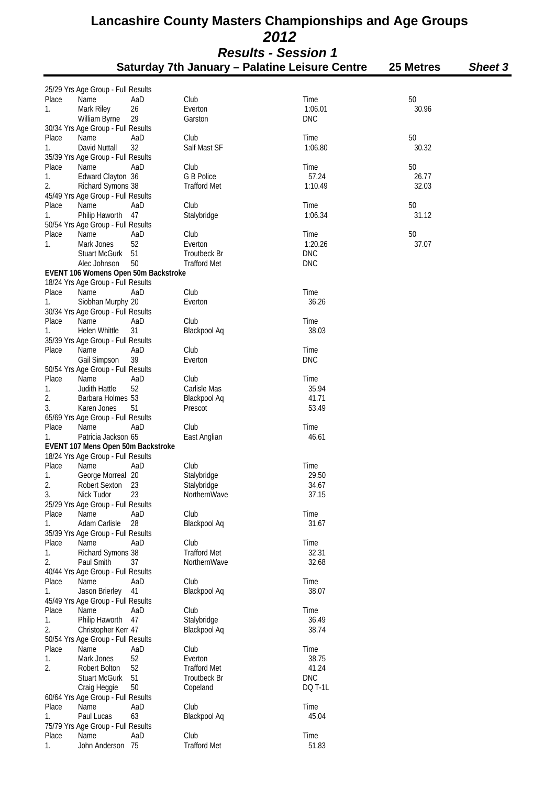| ,,,,,,,,,,,,,,,,,,,,,,,,,                             |           |                |
|-------------------------------------------------------|-----------|----------------|
| <b>Saturday 7th January – Palatine Leisure Centre</b> | 25 Metres | <b>Sheet 3</b> |

|             | 25/29 Yrs Age Group - Full Results         |           |                      |                 |             |
|-------------|--------------------------------------------|-----------|----------------------|-----------------|-------------|
| Place       | Name                                       | AaD       | Club                 | Time            | 50          |
| 1.          | Mark Riley                                 | 26        | Everton              | 1:06.01         | 30.96       |
|             | William Byrne                              | 29        | Garston              | <b>DNC</b>      |             |
|             | 30/34 Yrs Age Group - Full Results         |           |                      |                 |             |
| Place<br>1. | Name<br>David Nuttall                      | AaD<br>32 | Club<br>Salf Mast SF | Time<br>1:06.80 | 50<br>30.32 |
|             | 35/39 Yrs Age Group - Full Results         |           |                      |                 |             |
| Place       | Name                                       | AaD       | Club                 | Time            | 50          |
| 1.          | Edward Clayton 36                          |           | G B Police           | 57.24           | 26.77       |
| 2.          | Richard Symons 38                          |           | <b>Trafford Met</b>  | 1:10.49         | 32.03       |
|             | 45/49 Yrs Age Group - Full Results         |           |                      |                 |             |
| Place       | Name                                       | AaD       | Club                 | Time            | 50          |
| 1.          | Philip Haworth                             | 47        | Stalybridge          | 1:06.34         | 31.12       |
|             | 50/54 Yrs Age Group - Full Results         |           |                      |                 |             |
| Place<br>1. | Name<br>Mark Jones                         | AaD<br>52 | Club<br>Everton      | Time<br>1:20.26 | 50<br>37.07 |
|             | <b>Stuart McGurk</b>                       | 51        | <b>Troutbeck Br</b>  | <b>DNC</b>      |             |
|             | Alec Johnson                               | 50        | <b>Trafford Met</b>  | <b>DNC</b>      |             |
|             | EVENT 106 Womens Open 50m Backstroke       |           |                      |                 |             |
|             | 18/24 Yrs Age Group - Full Results         |           |                      |                 |             |
| Place       | Name                                       | AaD       | Club                 | Time            |             |
| 1.          | Siobhan Murphy 20                          |           | Everton              | 36.26           |             |
|             | 30/34 Yrs Age Group - Full Results         |           |                      |                 |             |
| Place<br>1. | Name<br>Helen Whittle                      | AaD<br>31 | Club                 | Time<br>38.03   |             |
|             | 35/39 Yrs Age Group - Full Results         |           | Blackpool Aq         |                 |             |
| Place       | Name                                       | AaD       | Club                 | Time            |             |
|             | Gail Simpson                               | 39        | Everton              | <b>DNC</b>      |             |
|             | 50/54 Yrs Age Group - Full Results         |           |                      |                 |             |
| Place       | Name                                       | AaD       | Club                 | Time            |             |
| 1.          | Judith Hattle                              | 52        | Carlisle Mas         | 35.94           |             |
| 2.          | Barbara Holmes 53                          |           | Blackpool Aq         | 41.71           |             |
| 3.          | Karen Jones                                | 51        | Prescot              | 53.49           |             |
| Place       | 65/69 Yrs Age Group - Full Results<br>Name | AaD       | Club                 | Time            |             |
| 1.          | Patricia Jackson 65                        |           | East Anglian         | 46.61           |             |
|             | EVENT 107 Mens Open 50m Backstroke         |           |                      |                 |             |
|             | 18/24 Yrs Age Group - Full Results         |           |                      |                 |             |
| Place       | Name                                       | AaD       | Club                 | Time            |             |
| 1.          | George Morreal 20                          |           | Stalybridge          | 29.50           |             |
| 2.          | <b>Robert Sexton</b>                       | 23        | Stalybridge          | 34.67           |             |
| 3.          | Nick Tudor                                 | 23        | NorthernWave         | 37.15           |             |
|             | 25/29 Yrs Age Group - Full Results         |           |                      |                 |             |
| Place<br>1. | Name<br>Adam Carlisle                      | AaD<br>28 | Club<br>Blackpool Aq | Time<br>31.67   |             |
|             | 35/39 Yrs Age Group - Full Results         |           |                      |                 |             |
| Place       | Name                                       | AaD       | Club                 | Time            |             |
| 1.          | Richard Symons 38                          |           | <b>Trafford Met</b>  | 32.31           |             |
| 2.          | Paul Smith                                 | 37        | NorthernWave         | 32.68           |             |
|             | 40/44 Yrs Age Group - Full Results         |           |                      |                 |             |
| Place       | Name                                       | AaD       | Club                 | Time            |             |
| 1.          | Jason Brierley                             | 41        | Blackpool Aq         | 38.07           |             |
| Place       | 45/49 Yrs Age Group - Full Results<br>Name | AaD       | Club                 | Time            |             |
| 1.          | Philip Haworth                             | 47        | Stalybridge          | 36.49           |             |
| 2.          | Christopher Kerr 47                        |           | Blackpool Aq         | 38.74           |             |
|             | 50/54 Yrs Age Group - Full Results         |           |                      |                 |             |
| Place       | Name                                       | AaD       | Club                 | Time            |             |
| 1.          | Mark Jones                                 | 52        | Everton              | 38.75           |             |
| 2.          | Robert Bolton                              | 52        | <b>Trafford Met</b>  | 41.24           |             |
|             | Stuart McGurk                              | 51        | <b>Troutbeck Br</b>  | <b>DNC</b>      |             |
|             | Craig Heggie                               | 50        | Copeland             | <b>DQ T-1L</b>  |             |
| Place       | 60/64 Yrs Age Group - Full Results<br>Name | AaD       | Club                 | Time            |             |
| 1.          | Paul Lucas                                 | 63        | Blackpool Aq         | 45.04           |             |
|             | 75/79 Yrs Age Group - Full Results         |           |                      |                 |             |
| Place       | Name                                       | AaD       | Club                 | Time            |             |
| 1.          | John Anderson 75                           |           | <b>Trafford Met</b>  | 51.83           |             |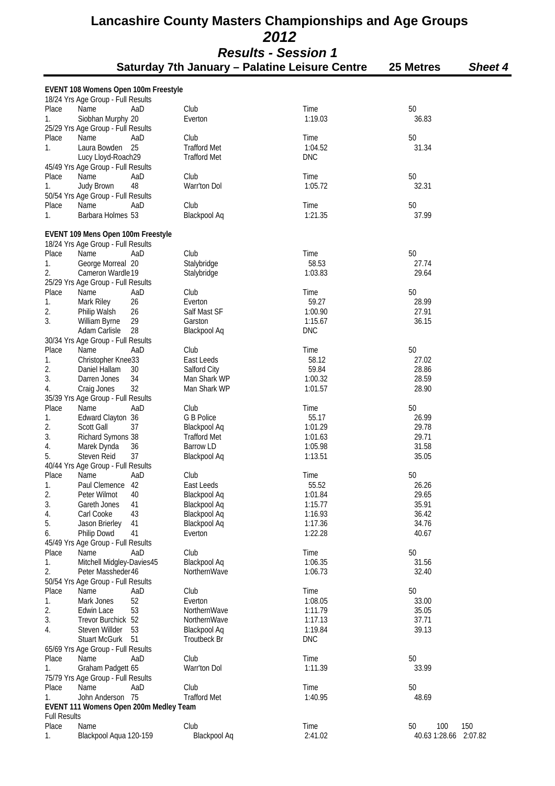|                     | EVENT 108 Womens Open 100m Freestyle<br>18/24 Yrs Age Group - Full Results |     |                     |            |                       |
|---------------------|----------------------------------------------------------------------------|-----|---------------------|------------|-----------------------|
| Place               | Name                                                                       | AaD | Club                | Time       | 50                    |
| 1.                  | Siobhan Murphy 20                                                          |     | Everton             | 1:19.03    | 36.83                 |
|                     | 25/29 Yrs Age Group - Full Results                                         |     |                     |            |                       |
| Place               | Name                                                                       | AaD | Club                | Time       | 50                    |
| 1.                  | Laura Bowden                                                               | 25  | <b>Trafford Met</b> | 1:04.52    | 31.34                 |
|                     | Lucy Lloyd-Roach29                                                         |     | <b>Trafford Met</b> | <b>DNC</b> |                       |
|                     | 45/49 Yrs Age Group - Full Results                                         |     |                     |            |                       |
| Place               | Name                                                                       | AaD | Club                | Time       | 50                    |
| 1.                  | Judy Brown                                                                 | 48  | Warr'ton Dol        | 1:05.72    | 32.31                 |
|                     | 50/54 Yrs Age Group - Full Results                                         |     |                     |            |                       |
| Place               | Name                                                                       | AaD | Club                | Time       | 50                    |
| 1.                  | Barbara Holmes 53                                                          |     | Blackpool Aq        | 1:21.35    | 37.99                 |
|                     |                                                                            |     |                     |            |                       |
|                     | EVENT 109 Mens Open 100m Freestyle                                         |     |                     |            |                       |
| Place               | 18/24 Yrs Age Group - Full Results<br>Name                                 | AaD | Club                | Time       | 50                    |
| 1.                  | George Morreal 20                                                          |     | Stalybridge         | 58.53      | 27.74                 |
| 2.                  | Cameron Wardle 19                                                          |     | Stalybridge         | 1:03.83    | 29.64                 |
|                     | 25/29 Yrs Age Group - Full Results                                         |     |                     |            |                       |
| Place               | Name                                                                       | AaD | Club                | Time       | 50                    |
| 1.                  | Mark Riley                                                                 | 26  | Everton             | 59.27      | 28.99                 |
| 2.                  | Philip Walsh                                                               | 26  | Salf Mast SF        | 1:00.90    | 27.91                 |
| 3.                  | William Byrne                                                              | 29  | Garston             | 1:15.67    | 36.15                 |
|                     | Adam Carlisle                                                              | 28  | Blackpool Aq        | <b>DNC</b> |                       |
|                     | 30/34 Yrs Age Group - Full Results                                         |     |                     |            |                       |
| Place               | Name                                                                       | AaD | Club                | Time       | 50                    |
| 1.                  | Christopher Knee33                                                         |     | East Leeds          | 58.12      | 27.02                 |
| 2.                  | Daniel Hallam                                                              | 30  | Salford City        | 59.84      | 28.86                 |
| 3.                  | Darren Jones                                                               | 34  | Man Shark WP        | 1:00.32    | 28.59                 |
| 4.                  | Craig Jones                                                                | 32  | Man Shark WP        | 1:01.57    | 28.90                 |
|                     | 35/39 Yrs Age Group - Full Results                                         |     |                     |            |                       |
| Place               | Name                                                                       | AaD | Club                | Time       | 50                    |
| 1.                  | Edward Clayton 36                                                          |     | G B Police          | 55.17      | 26.99                 |
| 2.                  | <b>Scott Gall</b>                                                          | 37  | Blackpool Aq        | 1:01.29    | 29.78                 |
| 3.                  | Richard Symons 38                                                          |     | <b>Trafford Met</b> | 1:01.63    | 29.71                 |
| 4.                  | Marek Dynda                                                                | 36  | Barrow LD           | 1:05.98    | 31.58                 |
| 5.                  | Steven Reid                                                                | 37  | Blackpool Aq        | 1:13.51    | 35.05                 |
|                     | 40/44 Yrs Age Group - Full Results                                         |     |                     |            |                       |
| Place               | Name                                                                       | AaD | Club                | Time       | 50                    |
| 1.                  | Paul Clemence                                                              | 42  | East Leeds          | 55.52      | 26.26                 |
| 2.                  | Peter Wilmot                                                               | 40  | Blackpool Aq        | 1:01.84    | 29.65                 |
| 3.                  | Gareth Jones                                                               | 41  | Blackpool Aq        | 1:15.77    | 35.91                 |
| 4.                  | Carl Cooke                                                                 | 43  | Blackpool Aq        | 1:16.93    | 36.42                 |
| 5.                  | Jason Brierley                                                             | 41  | Blackpool Aq        | 1:17.36    | 34.76                 |
| 6.                  | Philip Dowd                                                                | 41  | Everton             | 1:22.28    | 40.67                 |
|                     | 45/49 Yrs Age Group - Full Results                                         |     |                     |            |                       |
| Place               | Name                                                                       | AaD | Club                | Time       | 50                    |
| 1.                  | Mitchell Midgley-Davies45                                                  |     | <b>Blackpool Aq</b> | 1:06.35    | 31.56                 |
| 2.                  | Peter Massheder46                                                          |     | NorthernWave        | 1:06.73    | 32.40                 |
|                     | 50/54 Yrs Age Group - Full Results                                         |     |                     |            |                       |
| Place               | Name                                                                       | AaD | Club                | Time       | 50                    |
| 1.                  | Mark Jones                                                                 | 52  | Everton             | 1:08.05    | 33.00                 |
| 2.                  | Edwin Lace                                                                 | 53  | NorthernWave        | 1:11.79    | 35.05                 |
| 3.                  | Trevor Burchick 52                                                         |     | NorthernWave        | 1:17.13    | 37.71                 |
| 4.                  | Steven Willder                                                             | 53  | Blackpool Aq        | 1:19.84    | 39.13                 |
|                     | <b>Stuart McGurk</b>                                                       | 51  | Troutbeck Br        | <b>DNC</b> |                       |
|                     | 65/69 Yrs Age Group - Full Results                                         |     |                     |            |                       |
| Place               | Name                                                                       | AaD | Club                | Time       | 50                    |
| 1.                  | Graham Padgett 65                                                          |     | Warr'ton Dol        | 1:11.39    | 33.99                 |
|                     | 75/79 Yrs Age Group - Full Results                                         |     |                     |            |                       |
| Place               | Name                                                                       | AaD | Club                | Time       | 50                    |
| 1.                  | John Anderson 75                                                           |     | <b>Trafford Met</b> | 1:40.95    | 48.69                 |
|                     | EVENT 111 Womens Open 200m Medley Team                                     |     |                     |            |                       |
| <b>Full Results</b> |                                                                            |     |                     |            |                       |
| Place               | Name                                                                       |     | Club                | Time       | 150<br>50<br>100      |
| 1.                  | Blackpool Aqua 120-159                                                     |     | Blackpool Aq        | 2:41.02    | 40.63 1:28.66 2:07.82 |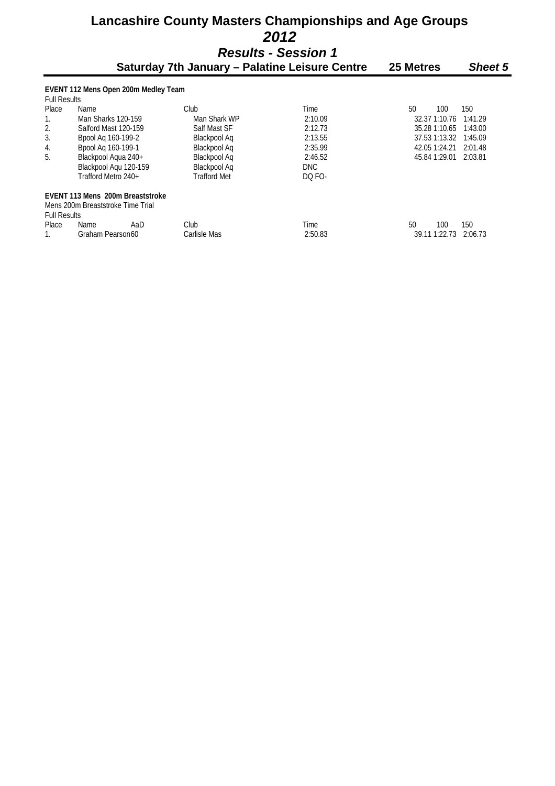# **Lancashire County Masters Championships and Age Groups**   *2012*

*Results - Session 1* 

|                                                             | Saturday 7th January - Palatine Leisure Centre | 25 Metres           | <b>Sheet 5</b> |               |         |  |  |  |  |  |
|-------------------------------------------------------------|------------------------------------------------|---------------------|----------------|---------------|---------|--|--|--|--|--|
| EVENT 112 Mens Open 200m Medley Team<br><b>Full Results</b> |                                                |                     |                |               |         |  |  |  |  |  |
| <b>Place</b>                                                | Name                                           | Club                | Time           | 50<br>100     | 150     |  |  |  |  |  |
|                                                             | Man Sharks 120-159                             | Man Shark WP        | 2:10.09        | 32.37 1:10.76 | 1:41.29 |  |  |  |  |  |
| 2.                                                          | Salford Mast 120-159                           | Salf Mast SF        | 2:12.73        | 35.28 1:10.65 | 1:43.00 |  |  |  |  |  |
| 3.                                                          | Bpool Ag 160-199-2                             | Blackpool Ag        | 2:13.55        | 37.53 1:13.32 | 1:45.09 |  |  |  |  |  |
| 4.                                                          | Bpool Ag 160-199-1                             | Blackpool Ag        | 2:35.99        | 42.05 1:24.21 | 2:01.48 |  |  |  |  |  |
| 5.                                                          | Blackpool Agua 240+                            | Blackpool Ag        | 2:46.52        | 45.84 1:29.01 | 2:03.81 |  |  |  |  |  |
|                                                             | Blackpool Aqu 120-159                          | Blackpool Aq        | <b>DNC</b>     |               |         |  |  |  |  |  |
|                                                             | Trafford Metro 240+                            | <b>Trafford Met</b> | DQ FO-         |               |         |  |  |  |  |  |
|                                                             | EVENT 113 Mens 200m Breaststroke               |                     |                |               |         |  |  |  |  |  |
|                                                             | Mens 200m Breaststroke Time Trial              |                     |                |               |         |  |  |  |  |  |
| <b>Full Results</b>                                         |                                                |                     |                |               |         |  |  |  |  |  |
| <b>Place</b>                                                | Name<br>AaD                                    | Club                | Time           | 50<br>100     | 150     |  |  |  |  |  |
|                                                             | Graham Pearson60                               | Carlisle Mas        | 2:50.83        | 39.11 1:22.73 | 2:06.73 |  |  |  |  |  |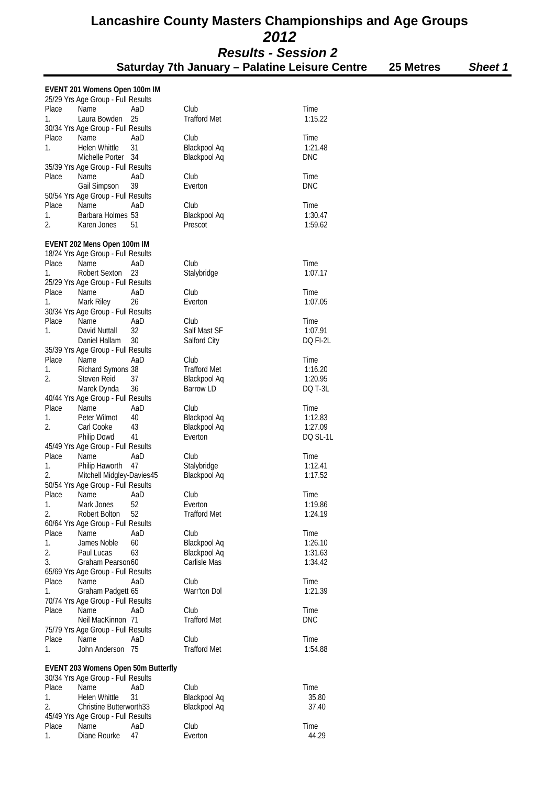**Saturday 7th January – Palatine Leisure Centre 25 Metres** *Sheet 1*

#### **EVENT 201 Womens Open 100m IM**  25/29 Yrs Age Group - Full Results<br>Place Mame AaD Place Name AaD Club  $\qquad$  Time 1. Laura Bowden 25 Trafford Met 1:15.22 30/34 Yrs Age Group - Full Results Place Name AaD Club  $\blacksquare$  Time 1. Helen Whittle 31 Blackpool Aq 1:21.48 Michelle Porter 35/39 Yrs Age Group - Full Results Place Name AaD Club  $\qquad$  Time Gail Simpson 39 Everton **Exercise Exercise Exercise** DNC 50/54 Yrs Age Group - Full Results<br>Place Mame AaD Place Name AaD Club  $\qquad$  Time 1. Barbara Holmes 53 Blackpool Aq 1:30.47 2. Karen Jones 51 Prescot 1:59.62 **EVENT 202 Mens Open 100m IM**  18/24 Yrs Age Group - Full Results<br>Place Mame AaD Place Name AaD Club  $\qquad$  Time 1. Robert Sexton 23 Stalybridge 1:07.17 25/29 Yrs Age Group - Full Results Place Name AaD Club  $\qquad$  Time 1. Mark Riley 26 Everton 20 Everton 1:07.05 30/34 Yrs Age Group - Full Results<br>Place Mame AaD Place Name AaD Club  $\qquad$  Time 1. David Nuttall 32 Salf Mast SF 1:07.91 Daniel Hallam 30 Salford City DQ FI-2L 35/39 Yrs Age Group - Full Results Place Name AaD Club  $\qquad$  Time 1. Richard Symons 38 Trafford Met 1:16.20 2. Steven Reid 37 Blackpool Aq 1:20.95<br>Marek Dynda 36 Barrow I D Barrow Apo T-31 Marek Dynda 36 40/44 Yrs Age Group - Full Results<br>Place Mame AaD Place Name AaD Club  $\qquad$  Time 1. Peter Wilmot 40 Blackpool Aq 1:12.83 2. Carl Cooke 43 Blackpool Aq 1:27.09 Blackpool Aq 1:27.09 Blackpool Aq Philip Dowd 41 Everton **Experient Contract Contract Contract Contract Contract Contract Contract Contract Contract Contract Contract Contract Contract Contract Contract Contract Contract Contract Contract Contract Contract** 45/49 Yrs Age Group - Full Results Place Name AaD Club  $\qquad$  Time 1. Philip Haworth 47 Stalybridge 1:12.41<br>2. Mitchell Midgley-Davies45 Blackpool Ag 1:17.52 2. Mitchell Midgley-Davies45 50/54 Yrs Age Group - Full Results Place Name AaD Club  $\qquad$  Time 1. Mark Jones 52 Everton 1:19.86<br>2. Robert Bolton 52 Trafford Met 1:24.19 2. Robert Bolton 52 60/64 Yrs Age Group - Full Results Place Name AaD Club  $\qquad$  Time 1. James Noble 60 Blackpool Aq 1:26.10 2. Paul Lucas 63 Blackpool Aq 1:31.63<br>3 Graham Pearson 60 Carlisle Mas 1:34.42 3. Graham Pearson 60 Carlisle Mas 65/69 Yrs Age Group - Full Results Place Name AaD Club  $\qquad$  Time 1. Graham Padgett 65 Warr'ton Dol 1:21.39 70/74 Yrs Age Group - Full Results Place Name AaD Club  $\qquad$  Time Neil MacKinnon 71 Trafford Met DNC 75/79 Yrs Age Group - Full Results Place Name AaD Club  $\qquad$  Time 1. John Anderson 75 Trafford Met 1:54.88 **EVENT 203 Womens Open 50m Butterfly**  30/34 Yrs Age Group - Full Results Place Name AaD Club  $\qquad$  Time 1. Helen Whittle 31 Blackpool Aq 35.80 2. Christine Butterworth33 Blackpool Aq 37.40 45/49 Yrs Age Group - Full Results Place Name AaD Club  $\qquad$  Time

1. Diane Rourke 47 Everton **Experience** 44.29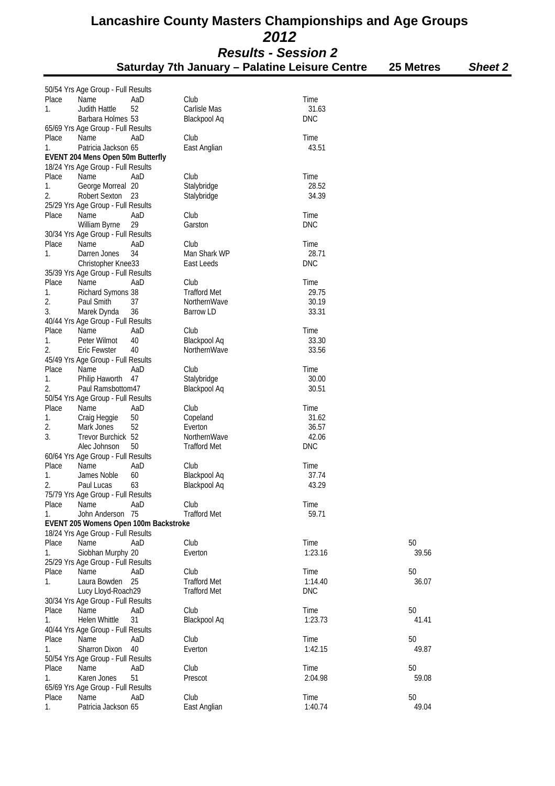|          | 50/54 Yrs Age Group - Full Results |                                       |                     |               |       |
|----------|------------------------------------|---------------------------------------|---------------------|---------------|-------|
| Place    | Name                               | AaD                                   | Club                | Time          |       |
| 1.       | Judith Hattle                      | 52                                    | Carlisle Mas        | 31.63         |       |
|          | Barbara Holmes 53                  |                                       | Blackpool Aq        | <b>DNC</b>    |       |
|          | 65/69 Yrs Age Group - Full Results |                                       |                     |               |       |
| Place    | Name                               | AaD                                   | Club                | Time          |       |
| 1.       | Patricia Jackson 65                |                                       | East Anglian        | 43.51         |       |
|          | EVENT 204 Mens Open 50m Butterfly  |                                       |                     |               |       |
|          | 18/24 Yrs Age Group - Full Results |                                       |                     |               |       |
| Place    | Name                               | AaD                                   | Club                | Time          |       |
| 1.       | George Morreal 20                  |                                       | Stalybridge         | 28.52         |       |
| 2.       | Robert Sexton                      | 23                                    | Stalybridge         | 34.39         |       |
|          | 25/29 Yrs Age Group - Full Results |                                       |                     |               |       |
| Place    | Name                               | AaD                                   | Club                | Time          |       |
|          | William Byrne                      | 29                                    | Garston             | <b>DNC</b>    |       |
|          | 30/34 Yrs Age Group - Full Results |                                       |                     |               |       |
| Place    | Name                               | AaD                                   | Club                | Time          |       |
| 1.       | Darren Jones                       | 34                                    | Man Shark WP        | 28.71         |       |
|          | Christopher Knee33                 |                                       | East Leeds          | <b>DNC</b>    |       |
|          | 35/39 Yrs Age Group - Full Results |                                       |                     |               |       |
| Place    | Name                               | AaD                                   | Club                | Time          |       |
| 1.       | Richard Symons 38                  |                                       | <b>Trafford Met</b> | 29.75         |       |
| 2.<br>3. | Paul Smith                         | 37                                    | NorthernWave        | 30.19         |       |
|          | Marek Dynda                        | 36                                    | Barrow LD           | 33.31         |       |
|          | 40/44 Yrs Age Group - Full Results |                                       |                     |               |       |
| Place    | Name                               | AaD                                   | Club                | Time<br>33.30 |       |
| 1.       | Peter Wilmot                       | 40                                    | Blackpool Aq        |               |       |
| 2.       | Eric Fewster                       | 40                                    | NorthernWave        | 33.56         |       |
| Place    | 45/49 Yrs Age Group - Full Results | AaD                                   | Club                |               |       |
| 1.       | Name<br>Philip Haworth             | 47                                    | Stalybridge         | Time<br>30.00 |       |
| 2.       | Paul Ramsbottom47                  |                                       |                     | 30.51         |       |
|          | 50/54 Yrs Age Group - Full Results |                                       | Blackpool Aq        |               |       |
| Place    | Name                               | AaD                                   | Club                | Time          |       |
| 1.       |                                    | 50                                    | Copeland            | 31.62         |       |
| 2.       | Craig Heggie<br>Mark Jones         | 52                                    | Everton             | 36.57         |       |
| 3.       | Trevor Burchick 52                 |                                       | NorthernWave        | 42.06         |       |
|          | Alec Johnson                       | 50                                    | <b>Trafford Met</b> | <b>DNC</b>    |       |
|          | 60/64 Yrs Age Group - Full Results |                                       |                     |               |       |
| Place    | Name                               | AaD                                   | Club                | Time          |       |
| 1.       | James Noble                        | 60                                    | Blackpool Aq        | 37.74         |       |
| 2.       | Paul Lucas                         | 63                                    | Blackpool Aq        | 43.29         |       |
|          | 75/79 Yrs Age Group - Full Results |                                       |                     |               |       |
| Place    | Name                               | AaD                                   | Club                | Time          |       |
| 1.       | John Anderson 75                   |                                       | <b>Trafford Met</b> | 59.71         |       |
|          |                                    | EVENT 205 Womens Open 100m Backstroke |                     |               |       |
|          | 18/24 Yrs Age Group - Full Results |                                       |                     |               |       |
| Place    | Name                               | AaD                                   | Club                | Time          | 50    |
| 1.       | Siobhan Murphy 20                  |                                       | Everton             | 1:23.16       | 39.56 |
|          | 25/29 Yrs Age Group - Full Results |                                       |                     |               |       |
| Place    | Name                               | AaD                                   | Club                | Time          | 50    |
| 1.       | Laura Bowden                       | 25                                    | <b>Trafford Met</b> | 1:14.40       | 36.07 |
|          | Lucy Lloyd-Roach29                 |                                       | <b>Trafford Met</b> | <b>DNC</b>    |       |
|          | 30/34 Yrs Age Group - Full Results |                                       |                     |               |       |
| Place    | Name                               | AaD                                   | Club                | Time          | 50    |
| 1.       | Helen Whittle                      | 31                                    | Blackpool Aq        | 1:23.73       | 41.41 |
|          | 40/44 Yrs Age Group - Full Results |                                       |                     |               |       |
| Place    | Name                               | AaD                                   | Club                | Time          | 50    |
| 1.       | <b>Sharron Dixon</b>               | 40                                    | Everton             | 1:42.15       | 49.87 |
|          | 50/54 Yrs Age Group - Full Results |                                       |                     |               |       |
| Place    | Name                               | AaD                                   | Club                | Time          | 50    |
| 1.       | Karen Jones                        | 51                                    | Prescot             | 2:04.98       | 59.08 |
|          | 65/69 Yrs Age Group - Full Results |                                       |                     |               |       |
| Place    | Name                               | AaD                                   | Club                | Time          | 50    |
| 1.       | Patricia Jackson 65                |                                       | East Anglian        | 1:40.74       | 49.04 |
|          |                                    |                                       |                     |               |       |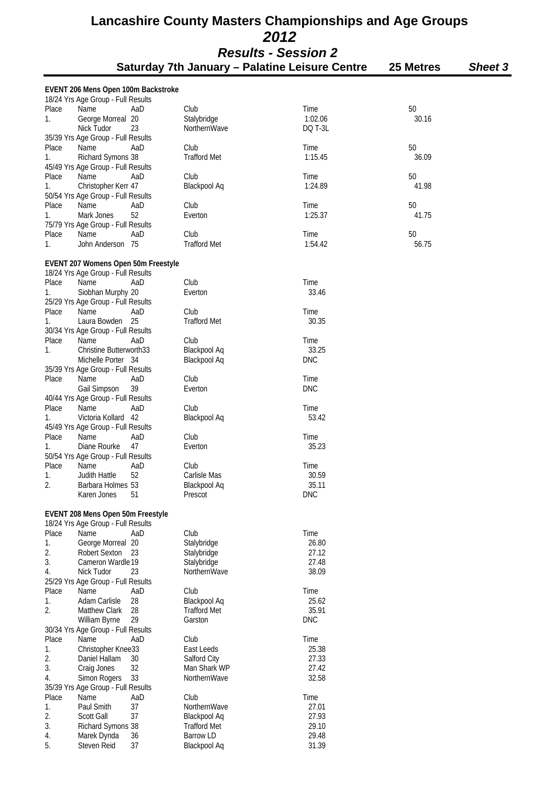# **Lancashire County Masters Championships and Age Groups**   *2012*

| <b>Results - Session 2</b><br>Saturday 7th January – Palatine Leisure Centre<br>25 Metres<br><b>Sheet 3</b> |                                     |     |                     |            |       |  |  |
|-------------------------------------------------------------------------------------------------------------|-------------------------------------|-----|---------------------|------------|-------|--|--|
|                                                                                                             |                                     |     |                     |            |       |  |  |
|                                                                                                             | EVENT 206 Mens Open 100m Backstroke |     |                     |            |       |  |  |
|                                                                                                             | 18/24 Yrs Age Group - Full Results  |     |                     |            |       |  |  |
| Place                                                                                                       | Name                                | AaD | Club                | Time       | 50    |  |  |
| 1.                                                                                                          | George Morreal 20                   |     | Stalybridge         | 1:02.06    | 30.16 |  |  |
|                                                                                                             | Nick Tudor                          | 23  | NorthernWave        | DQ T-3L    |       |  |  |
|                                                                                                             | 35/39 Yrs Age Group - Full Results  |     |                     |            |       |  |  |
| Place                                                                                                       | Name                                | AaD | Club                | Time       | 50    |  |  |
| 1.                                                                                                          | Richard Symons 38                   |     | <b>Trafford Met</b> | 1:15.45    | 36.09 |  |  |
|                                                                                                             | 45/49 Yrs Age Group - Full Results  |     |                     |            |       |  |  |
| Place                                                                                                       | Name                                | AaD | Club                | Time       | 50    |  |  |
| 1.                                                                                                          | Christopher Kerr 47                 |     | <b>Blackpool Aq</b> | 1:24.89    | 41.98 |  |  |
|                                                                                                             | 50/54 Yrs Age Group - Full Results  |     |                     |            |       |  |  |
| Place                                                                                                       | Name                                | AaD | Club                | Time       | 50    |  |  |
| 1.                                                                                                          | Mark Jones                          | 52  | Everton             | 1:25.37    | 41.75 |  |  |
|                                                                                                             | 75/79 Yrs Age Group - Full Results  |     |                     |            |       |  |  |
| Place                                                                                                       | Name                                | AaD | Club                | Time       | 50    |  |  |
| 1.                                                                                                          | John Anderson 75                    |     | <b>Trafford Met</b> | 1:54.42    | 56.75 |  |  |
|                                                                                                             | EVENT 207 Womens Open 50m Freestyle |     |                     |            |       |  |  |
|                                                                                                             | 18/24 Yrs Age Group - Full Results  |     |                     |            |       |  |  |
| Place                                                                                                       | Name                                | AaD | Club                | Time       |       |  |  |
| 1.                                                                                                          | Siobhan Murphy 20                   |     | Everton             | 33.46      |       |  |  |
|                                                                                                             | 25/29 Yrs Age Group - Full Results  |     |                     |            |       |  |  |
| Place                                                                                                       | Name                                | AaD | Club                | Time       |       |  |  |
| 1.                                                                                                          | 25<br>Laura Bowden                  |     | <b>Trafford Met</b> | 30.35      |       |  |  |
|                                                                                                             | 30/34 Yrs Age Group - Full Results  |     |                     |            |       |  |  |
| Place                                                                                                       | Name                                | AaD | Club                | Time       |       |  |  |
| 1.                                                                                                          | <b>Christine Butterworth33</b>      |     | Blackpool Aq        | 33.25      |       |  |  |
|                                                                                                             | Michelle Porter 34                  |     | Blackpool Aq        | <b>DNC</b> |       |  |  |
|                                                                                                             | 35/39 Yrs Age Group - Full Results  |     |                     |            |       |  |  |
| Place                                                                                                       | Name                                | AaD | Club                | Time       |       |  |  |
|                                                                                                             | Gail Simpson                        | 39  | Everton             | <b>DNC</b> |       |  |  |
|                                                                                                             | 40/44 Yrs Age Group - Full Results  |     |                     |            |       |  |  |
| Place                                                                                                       | Name                                | AaD | Club                | Time       |       |  |  |
| 1.                                                                                                          | Victoria Kollard 42                 |     | Blackpool Aq        | 53.42      |       |  |  |
|                                                                                                             | 45/49 Yrs Age Group - Full Results  |     |                     |            |       |  |  |
| Place                                                                                                       | Name                                | AaD | Club                | Time       |       |  |  |
| 1.                                                                                                          | Diane Rourke                        | 47  | Everton             | 35.23      |       |  |  |
|                                                                                                             | 50/54 Yrs Age Group - Full Results  |     |                     |            |       |  |  |
| Place                                                                                                       | Name                                | AaD | Club                | Time       |       |  |  |
| 1.                                                                                                          | Judith Hattle                       | 52  | Carlisle Mas        | 30.59      |       |  |  |
| 2.                                                                                                          | Barbara Holmes 53                   |     | Blackpool Aq        | 35.11      |       |  |  |
|                                                                                                             | Karen Jones                         | 51  | Prescot             | <b>DNC</b> |       |  |  |
|                                                                                                             | EVENT 208 Mens Open 50m Freestyle   |     |                     |            |       |  |  |
|                                                                                                             | 18/24 Yrs Age Group - Full Results  |     |                     |            |       |  |  |
| Place                                                                                                       | Name                                | AaD | Club                | Time       |       |  |  |
| 1.                                                                                                          | George Morreal 20                   |     | Stalybridge         | 26.80      |       |  |  |

| 1.       | George Morreal 20                  |     | Stalybridge         | 26.80      |
|----------|------------------------------------|-----|---------------------|------------|
| 2.       | Robert Sexton 23                   |     | Stalybridge         | 27.12      |
| 3.       | Cameron Wardle 19                  |     | Stalybridge         | 27.48      |
| 4.       | Nick Tudor                         | 23  | NorthernWave        | 38.09      |
|          | 25/29 Yrs Age Group - Full Results |     |                     |            |
| Place    | Name                               | AaD | Club                | Time       |
| 1.       | Adam Carlisle                      | 28  | Blackpool Aq        | 25.62      |
| 2.       | <b>Matthew Clark</b>               | -28 | <b>Trafford Met</b> | 35.91      |
|          | William Byrne                      | 29  | Garston             | <b>DNC</b> |
|          | 30/34 Yrs Age Group - Full Results |     |                     |            |
| Place    | Name                               | AaD | Club                | Time       |
| 1.       | Christopher Knee33                 |     | East Leeds          | 25.38      |
| 2.<br>3. | Daniel Hallam                      | 30  | Salford City        | 27.33      |
|          | Craig Jones                        | 32  | Man Shark WP        | 27.42      |
| 4.       | Simon Rogers 33                    |     | NorthernWave        | 32.58      |
|          | 35/39 Yrs Age Group - Full Results |     |                     |            |
| Place    | Name                               | AaD | Club                | Time       |
| 1.       | Paul Smith                         | 37  | NorthernWave        | 27.01      |
|          | <b>Scott Gall</b>                  | 37  | Blackpool Aq        | 27.93      |
| 2.<br>3. | Richard Symons 38                  |     | <b>Trafford Met</b> | 29.10      |
| 4.       | Marek Dynda                        | 36  | Barrow LD           | 29.48      |
| 5.       | Steven Reid                        | 37  | Blackpool Aq        | 31.39      |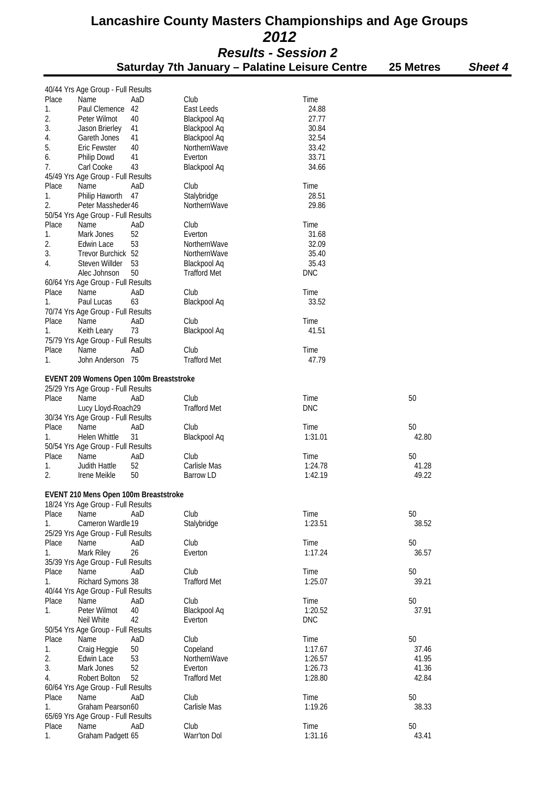|          | 40/44 Yrs Age Group - Full Results |                                         |                                     |                |       |
|----------|------------------------------------|-----------------------------------------|-------------------------------------|----------------|-------|
| Place    | Name                               | AaD                                     | Club                                | Time           |       |
| 1.       | Paul Clemence                      | 42                                      | East Leeds                          | 24.88          |       |
| 2.       | Peter Wilmot                       | 40                                      | Blackpool Aq                        | 27.77          |       |
| 3.       | Jason Brierley<br>Gareth Jones     | 41<br>41                                | Blackpool Aq                        | 30.84<br>32.54 |       |
| 4.<br>5. | <b>Eric Fewster</b>                | 40                                      | <b>Blackpool Aq</b><br>NorthernWave | 33.42          |       |
| 6.       | Philip Dowd                        | 41                                      | Everton                             | 33.71          |       |
| 7.       | Carl Cooke                         | 43                                      | Blackpool Aq                        | 34.66          |       |
|          | 45/49 Yrs Age Group - Full Results |                                         |                                     |                |       |
| Place    | Name                               | AaD                                     | Club                                | Time           |       |
| 1.       | Philip Haworth                     | 47                                      | Stalybridge                         | 28.51          |       |
| 2.       | Peter Massheder 46                 |                                         | NorthernWave                        | 29.86          |       |
|          | 50/54 Yrs Age Group - Full Results |                                         |                                     |                |       |
| Place    | Name                               | AaD                                     | Club                                | Time           |       |
| 1.       | Mark Jones                         | 52                                      | Everton                             | 31.68          |       |
| 2.       | Edwin Lace                         | 53                                      | NorthernWave                        | 32.09          |       |
| 3.       | Trevor Burchick 52                 |                                         | NorthernWave                        | 35.40          |       |
| 4.       | Steven Willder                     | 53                                      | <b>Blackpool Aq</b>                 | 35.43          |       |
|          | Alec Johnson                       | 50                                      | <b>Trafford Met</b>                 | <b>DNC</b>     |       |
|          | 60/64 Yrs Age Group - Full Results |                                         |                                     |                |       |
| Place    | Name                               | AaD                                     | Club                                | Time           |       |
| 1.       | Paul Lucas                         | 63                                      | <b>Blackpool Aq</b>                 | 33.52          |       |
|          | 70/74 Yrs Age Group - Full Results |                                         |                                     |                |       |
| Place    | Name                               | AaD                                     | Club                                | Time           |       |
|          |                                    | 73                                      | Blackpool Aq                        | 41.51          |       |
| 1.       | Keith Leary                        |                                         |                                     |                |       |
|          | 75/79 Yrs Age Group - Full Results |                                         |                                     |                |       |
| Place    | Name                               | AaD                                     | Club<br><b>Trafford Met</b>         | Time<br>47.79  |       |
| 1.       | John Anderson 75                   |                                         |                                     |                |       |
|          |                                    | EVENT 209 Womens Open 100m Breaststroke |                                     |                |       |
|          | 25/29 Yrs Age Group - Full Results |                                         |                                     |                |       |
| Place    | Name                               | AaD                                     | Club                                | Time           | 50    |
|          | Lucy Lloyd-Roach29                 |                                         | <b>Trafford Met</b>                 | <b>DNC</b>     |       |
|          | 30/34 Yrs Age Group - Full Results |                                         |                                     |                |       |
| Place    | Name                               | AaD                                     | Club                                | Time           | 50    |
| 1.       | Helen Whittle                      | 31                                      | <b>Blackpool Aq</b>                 | 1:31.01        | 42.80 |
|          | 50/54 Yrs Age Group - Full Results |                                         |                                     |                |       |
| Place    | Name                               | AaD                                     | Club                                | Time           | 50    |
| 1.       | Judith Hattle                      | 52                                      | Carlisle Mas                        | 1:24.78        | 41.28 |
| 2.       | Irene Meikle                       | 50                                      | <b>Barrow LD</b>                    | 1:42.19        | 49.22 |
|          |                                    |                                         |                                     |                |       |
|          |                                    | EVENT 210 Mens Open 100m Breaststroke   |                                     |                |       |
|          | 18/24 Yrs Age Group - Full Results |                                         |                                     |                |       |
| Place    | Name                               | AaD                                     | Club                                | Time           | 50    |
| 1.       | Cameron Wardle 19                  |                                         | Stalybridge                         | 1:23.51        | 38.52 |
|          | 25/29 Yrs Age Group - Full Results |                                         |                                     |                |       |
| Place    | Name                               | AaD                                     | Club                                | Time           | 50    |
| 1.       | Mark Riley                         | 26                                      | Everton                             | 1:17.24        | 36.57 |
|          | 35/39 Yrs Age Group - Full Results |                                         |                                     |                |       |
| Place    | Name                               | AaD                                     | Club                                | Time           | 50    |
| 1.       | Richard Symons 38                  |                                         | <b>Trafford Met</b>                 | 1:25.07        | 39.21 |
|          | 40/44 Yrs Age Group - Full Results |                                         |                                     |                |       |
| Place    | Name                               | AaD                                     | Club                                | Time           | 50    |
| 1.       | Peter Wilmot                       | 40                                      | <b>Blackpool Aq</b>                 | 1:20.52        | 37.91 |
|          | Neil White                         | 42                                      | Everton                             | <b>DNC</b>     |       |
|          | 50/54 Yrs Age Group - Full Results |                                         |                                     |                |       |
| Place    | Name                               | AaD                                     | Club                                | Time           | 50    |
| 1.       | Craig Heggie                       | 50                                      | Copeland                            | 1:17.67        | 37.46 |
| 2.       | Edwin Lace                         | 53                                      | NorthernWave                        | 1:26.57        | 41.95 |
| 3.       | Mark Jones                         | 52                                      | Everton                             | 1:26.73        | 41.36 |
| 4.       | Robert Bolton                      | 52                                      | <b>Trafford Met</b>                 | 1:28.80        | 42.84 |
|          | 60/64 Yrs Age Group - Full Results |                                         |                                     |                |       |
| Place    | Name                               | AaD                                     | Club                                | Time           | 50    |
| 1.       | Graham Pearson60                   |                                         | Carlisle Mas                        | 1:19.26        | 38.33 |
|          | 65/69 Yrs Age Group - Full Results |                                         |                                     |                |       |
| Place    | Name                               | AaD                                     | Club                                | Time           | 50    |
| 1.       | Graham Padgett 65                  |                                         | Warr'ton Dol                        | 1:31.16        | 43.41 |
|          |                                    |                                         |                                     |                |       |